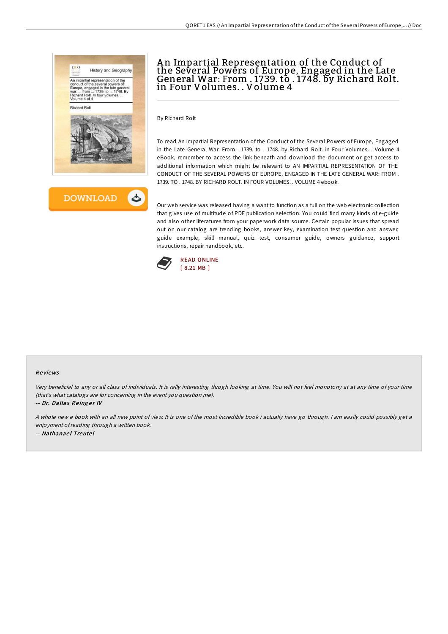



# A n Impartial Representation of the Conduct of the Several Powers of Europe, Engaged in the Late General War: From . 1739. to . 1748. by Richard Rolt. in Four Volumes. . Volume 4

By Richard Rolt

To read An Impartial Representation of the Conduct of the Several Powers of Europe, Engaged in the Late General War: From . 1739. to . 1748. by Richard Rolt. in Four Volumes. . Volume 4 eBook, remember to access the link beneath and download the document or get access to additional information which might be relevant to AN IMPARTIAL REPRESENTATION OF THE CONDUCT OF THE SEVERAL POWERS OF EUROPE, ENGAGED IN THE LATE GENERAL WAR: FROM . 1739. TO . 1748. BY RICHARD ROLT. IN FOUR VOLUMES. . VOLUME 4 ebook.

Our web service was released having a want to function as a full on the web electronic collection that gives use of multitude of PDF publication selection. You could find many kinds of e-guide and also other literatures from your paperwork data source. Certain popular issues that spread out on our catalog are trending books, answer key, examination test question and answer, guide example, skill manual, quiz test, consumer guide, owners guidance, support instructions, repair handbook, etc.



### Re views

Very beneficial to any or all class of individuals. It is rally interesting throgh looking at time. You will not feel monotony at at any time of your time (that's what catalogs are for concerning in the event you question me).

-- Dr. Dallas Reinger IV

<sup>A</sup> whole new <sup>e</sup> book with an all new point of view. It is one of the most incredible book i actually have go through. <sup>I</sup> am easily could possibly get <sup>a</sup> enjoyment ofreading through <sup>a</sup> written book. -- Nathanael Treutel